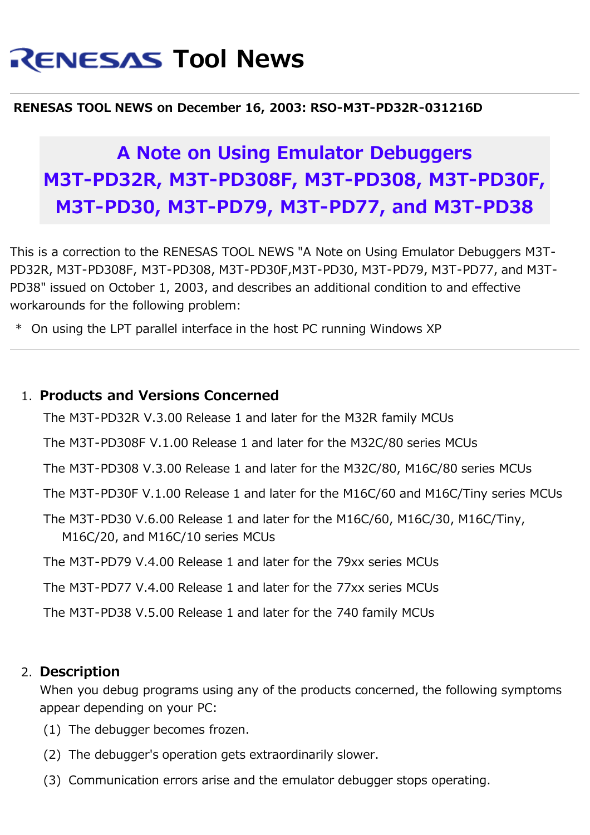# **RENESAS Tool News**

#### **RENESAS TOOL NEWS on December 16, 2003: RSO-M3T-PD32R-031216D**

## **A Note on Using Emulator Debuggers M3T-PD32R, M3T-PD308F, M3T-PD308, M3T-PD30F, M3T-PD30, M3T-PD79, M3T-PD77, and M3T-PD38**

This is a correction to the RENESAS TOOL NEWS "A Note on Using Emulator Debuggers M3T-PD32R, M3T-PD308F, M3T-PD308, M3T-PD30F,M3T-PD30, M3T-PD79, M3T-PD77, and M3T-PD38" issued on October 1, 2003, and describes an additional condition to and effective workarounds for the following problem:

\* On using the LPT parallel interface in the host PC running Windows XP

#### 1. **Products and Versions Concerned**

The M3T-PD32R V.3.00 Release 1 and later for the M32R family MCUs

The M3T-PD308F V.1.00 Release 1 and later for the M32C/80 series MCUs

The M3T-PD308 V.3.00 Release 1 and later for the M32C/80, M16C/80 series MCUs

The M3T-PD30F V.1.00 Release 1 and later for the M16C/60 and M16C/Tiny series MCUs

The M3T-PD30 V.6.00 Release 1 and later for the M16C/60, M16C/30, M16C/Tiny, M16C/20, and M16C/10 series MCUs

The M3T-PD79 V.4.00 Release 1 and later for the 79xx series MCUs

The M3T-PD77 V.4.00 Release 1 and later for the 77xx series MCUs

The M3T-PD38 V.5.00 Release 1 and later for the 740 family MCUs

#### 2. **Description**

When you debug programs using any of the products concerned, the following symptoms appear depending on your PC:

- (1) The debugger becomes frozen.
- (2) The debugger's operation gets extraordinarily slower.
- (3) Communication errors arise and the emulator debugger stops operating.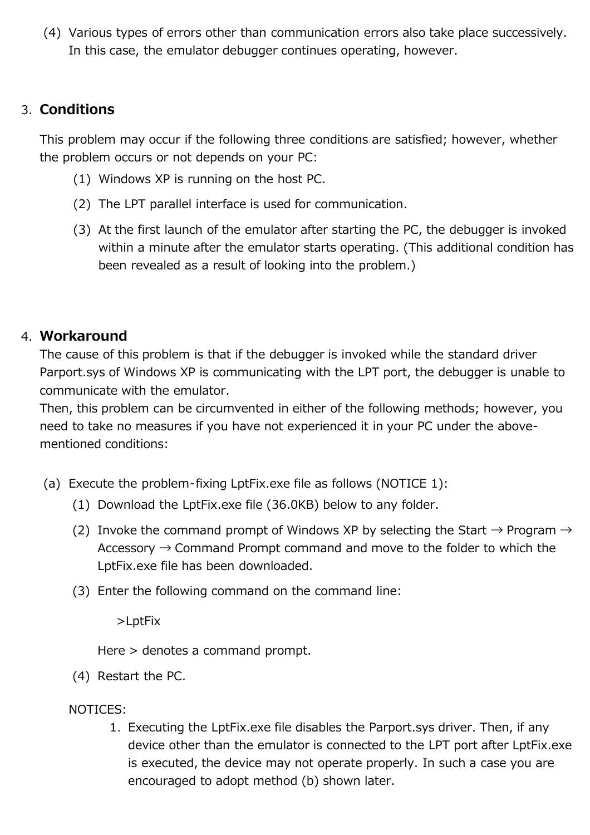(4) Various types of errors other than communication errors also take place successively. In this case, the emulator debugger continues operating, however.

### 3. **Conditions**

This problem may occur if the following three conditions are satisfied; however, whether the problem occurs or not depends on your PC:

- (1) Windows XP is running on the host PC.
- (2) The LPT parallel interface is used for communication.
- (3) At the first launch of the emulator after starting the PC, the debugger is invoked within a minute after the emulator starts operating. (This additional condition has been revealed as a result of looking into the problem.)

#### 4. **Workaround**

The cause of this problem is that if the debugger is invoked while the standard driver Parport.sys of Windows XP is communicating with the LPT port, the debugger is unable to communicate with the emulator.

Then, this problem can be circumvented in either of the following methods; however, you need to take no measures if you have not experienced it in your PC under the abovementioned conditions:

- (a) Execute the problem-fixing LptFix.exe file as follows (NOTICE 1):
	- (1) Download the LptFix.exe file (36.0KB) below to any folder.
	- (2) Invoke the command prompt of Windows XP by selecting the Start  $\rightarrow$  Program  $\rightarrow$ Accessory  $\rightarrow$  Command Prompt command and move to the folder to which the LptFix.exe file has been downloaded.
	- (3) Enter the following command on the command line:

>LptFix

Here > denotes a command prompt.

(4) Restart the PC.

NOTICES:

1. Executing the LptFix.exe file disables the Parport.sys driver. Then, if any device other than the emulator is connected to the LPT port after LptFix.exe is executed, the device may not operate properly. In such a case you are encouraged to adopt method (b) shown later.